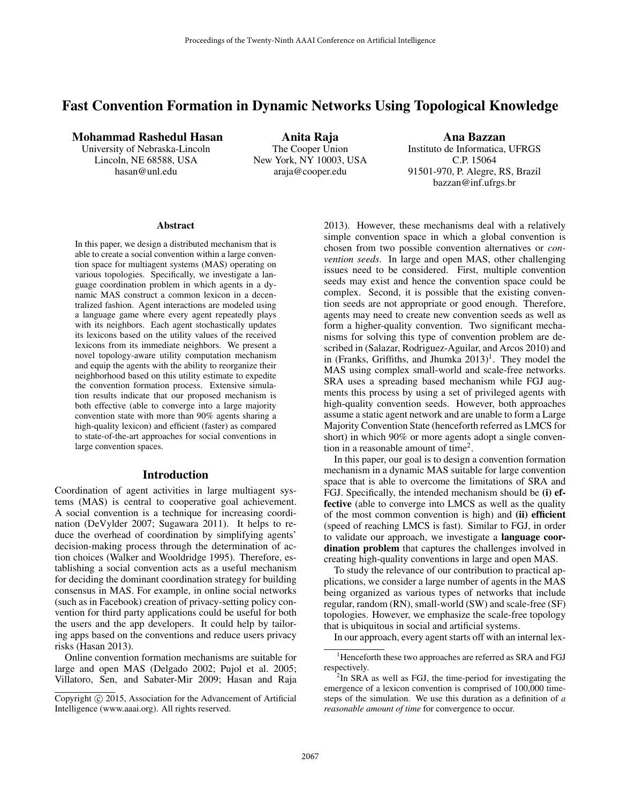# Fast Convention Formation in Dynamic Networks Using Topological Knowledge

### Mohammad Rashedul Hasan

University of Nebraska-Lincoln Lincoln, NE 68588, USA hasan@unl.edu

Anita Raja The Cooper Union New York, NY 10003, USA araja@cooper.edu

Ana Bazzan Instituto de Informatica, UFRGS C.P. 15064 91501-970, P. Alegre, RS, Brazil bazzan@inf.ufrgs.br

#### **Abstract**

In this paper, we design a distributed mechanism that is able to create a social convention within a large convention space for multiagent systems (MAS) operating on various topologies. Specifically, we investigate a language coordination problem in which agents in a dynamic MAS construct a common lexicon in a decentralized fashion. Agent interactions are modeled using a language game where every agent repeatedly plays with its neighbors. Each agent stochastically updates its lexicons based on the utility values of the received lexicons from its immediate neighbors. We present a novel topology-aware utility computation mechanism and equip the agents with the ability to reorganize their neighborhood based on this utility estimate to expedite the convention formation process. Extensive simulation results indicate that our proposed mechanism is both effective (able to converge into a large majority convention state with more than 90% agents sharing a high-quality lexicon) and efficient (faster) as compared to state-of-the-art approaches for social conventions in large convention spaces.

#### Introduction

Coordination of agent activities in large multiagent systems (MAS) is central to cooperative goal achievement. A social convention is a technique for increasing coordination (DeVylder 2007; Sugawara 2011). It helps to reduce the overhead of coordination by simplifying agents' decision-making process through the determination of action choices (Walker and Wooldridge 1995). Therefore, establishing a social convention acts as a useful mechanism for deciding the dominant coordination strategy for building consensus in MAS. For example, in online social networks (such as in Facebook) creation of privacy-setting policy convention for third party applications could be useful for both the users and the app developers. It could help by tailoring apps based on the conventions and reduce users privacy risks (Hasan 2013).

Online convention formation mechanisms are suitable for large and open MAS (Delgado 2002; Pujol et al. 2005; Villatoro, Sen, and Sabater-Mir 2009; Hasan and Raja 2013). However, these mechanisms deal with a relatively simple convention space in which a global convention is chosen from two possible convention alternatives or *convention seeds*. In large and open MAS, other challenging issues need to be considered. First, multiple convention seeds may exist and hence the convention space could be complex. Second, it is possible that the existing convention seeds are not appropriate or good enough. Therefore, agents may need to create new convention seeds as well as form a higher-quality convention. Two significant mechanisms for solving this type of convention problem are described in (Salazar, Rodriguez-Aguilar, and Arcos 2010) and in (Franks, Griffiths, and Jhumka  $2013$ )<sup>1</sup>. They model the MAS using complex small-world and scale-free networks. SRA uses a spreading based mechanism while FGJ augments this process by using a set of privileged agents with high-quality convention seeds. However, both approaches assume a static agent network and are unable to form a Large Majority Convention State (henceforth referred as LMCS for short) in which 90% or more agents adopt a single convention in a reasonable amount of time<sup>2</sup>.

In this paper, our goal is to design a convention formation mechanism in a dynamic MAS suitable for large convention space that is able to overcome the limitations of SRA and FGJ. Specifically, the intended mechanism should be (i) effective (able to converge into LMCS as well as the quality of the most common convention is high) and (ii) efficient (speed of reaching LMCS is fast). Similar to FGJ, in order to validate our approach, we investigate a language coordination problem that captures the challenges involved in creating high-quality conventions in large and open MAS.

To study the relevance of our contribution to practical applications, we consider a large number of agents in the MAS being organized as various types of networks that include regular, random (RN), small-world (SW) and scale-free (SF) topologies. However, we emphasize the scale-free topology that is ubiquitous in social and artificial systems.

In our approach, every agent starts off with an internal lex-

Copyright (c) 2015, Association for the Advancement of Artificial Intelligence (www.aaai.org). All rights reserved.

<sup>&</sup>lt;sup>1</sup>Henceforth these two approaches are referred as SRA and FGJ respectively.

 $2$ In SRA as well as FGJ, the time-period for investigating the emergence of a lexicon convention is comprised of 100,000 timesteps of the simulation. We use this duration as a definition of *a reasonable amount of time* for convergence to occur.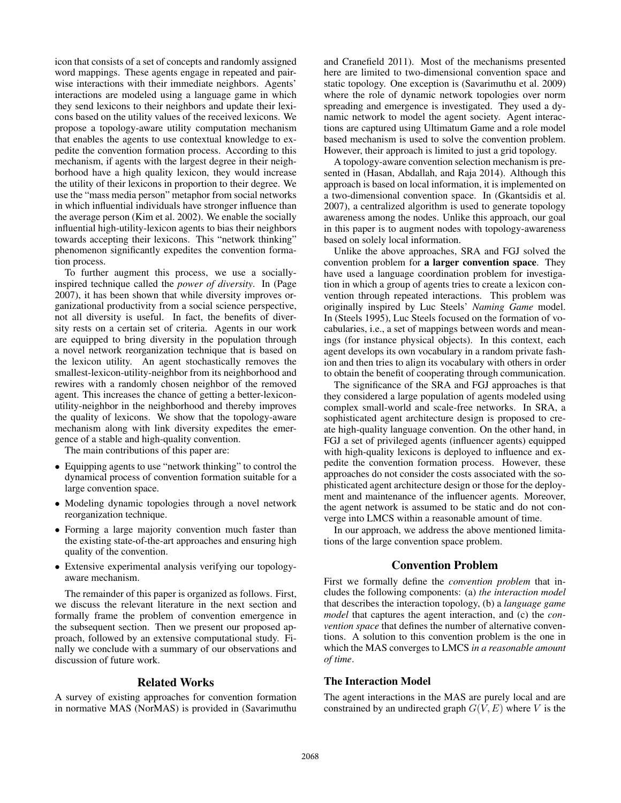icon that consists of a set of concepts and randomly assigned word mappings. These agents engage in repeated and pairwise interactions with their immediate neighbors. Agents' interactions are modeled using a language game in which they send lexicons to their neighbors and update their lexicons based on the utility values of the received lexicons. We propose a topology-aware utility computation mechanism that enables the agents to use contextual knowledge to expedite the convention formation process. According to this mechanism, if agents with the largest degree in their neighborhood have a high quality lexicon, they would increase the utility of their lexicons in proportion to their degree. We use the "mass media person" metaphor from social networks in which influential individuals have stronger influence than the average person (Kim et al. 2002). We enable the socially influential high-utility-lexicon agents to bias their neighbors towards accepting their lexicons. This "network thinking" phenomenon significantly expedites the convention formation process.

To further augment this process, we use a sociallyinspired technique called the *power of diversity*. In (Page 2007), it has been shown that while diversity improves organizational productivity from a social science perspective, not all diversity is useful. In fact, the benefits of diversity rests on a certain set of criteria. Agents in our work are equipped to bring diversity in the population through a novel network reorganization technique that is based on the lexicon utility. An agent stochastically removes the smallest-lexicon-utility-neighbor from its neighborhood and rewires with a randomly chosen neighbor of the removed agent. This increases the chance of getting a better-lexiconutility-neighbor in the neighborhood and thereby improves the quality of lexicons. We show that the topology-aware mechanism along with link diversity expedites the emergence of a stable and high-quality convention.

The main contributions of this paper are:

- Equipping agents to use "network thinking" to control the dynamical process of convention formation suitable for a large convention space.
- Modeling dynamic topologies through a novel network reorganization technique.
- Forming a large majority convention much faster than the existing state-of-the-art approaches and ensuring high quality of the convention.
- Extensive experimental analysis verifying our topologyaware mechanism.

The remainder of this paper is organized as follows. First, we discuss the relevant literature in the next section and formally frame the problem of convention emergence in the subsequent section. Then we present our proposed approach, followed by an extensive computational study. Finally we conclude with a summary of our observations and discussion of future work.

## Related Works

A survey of existing approaches for convention formation in normative MAS (NorMAS) is provided in (Savarimuthu and Cranefield 2011). Most of the mechanisms presented here are limited to two-dimensional convention space and static topology. One exception is (Savarimuthu et al. 2009) where the role of dynamic network topologies over norm spreading and emergence is investigated. They used a dynamic network to model the agent society. Agent interactions are captured using Ultimatum Game and a role model based mechanism is used to solve the convention problem. However, their approach is limited to just a grid topology.

A topology-aware convention selection mechanism is presented in (Hasan, Abdallah, and Raja 2014). Although this approach is based on local information, it is implemented on a two-dimensional convention space. In (Gkantsidis et al. 2007), a centralized algorithm is used to generate topology awareness among the nodes. Unlike this approach, our goal in this paper is to augment nodes with topology-awareness based on solely local information.

Unlike the above approaches, SRA and FGJ solved the convention problem for a larger convention space. They have used a language coordination problem for investigation in which a group of agents tries to create a lexicon convention through repeated interactions. This problem was originally inspired by Luc Steels' *Naming Game* model. In (Steels 1995), Luc Steels focused on the formation of vocabularies, i.e., a set of mappings between words and meanings (for instance physical objects). In this context, each agent develops its own vocabulary in a random private fashion and then tries to align its vocabulary with others in order to obtain the benefit of cooperating through communication.

The significance of the SRA and FGJ approaches is that they considered a large population of agents modeled using complex small-world and scale-free networks. In SRA, a sophisticated agent architecture design is proposed to create high-quality language convention. On the other hand, in FGJ a set of privileged agents (influencer agents) equipped with high-quality lexicons is deployed to influence and expedite the convention formation process. However, these approaches do not consider the costs associated with the sophisticated agent architecture design or those for the deployment and maintenance of the influencer agents. Moreover, the agent network is assumed to be static and do not converge into LMCS within a reasonable amount of time.

In our approach, we address the above mentioned limitations of the large convention space problem.

## Convention Problem

First we formally define the *convention problem* that includes the following components: (a) *the interaction model* that describes the interaction topology, (b) a *language game model* that captures the agent interaction, and (c) the *convention space* that defines the number of alternative conventions. A solution to this convention problem is the one in which the MAS converges to LMCS *in a reasonable amount of time*.

## The Interaction Model

The agent interactions in the MAS are purely local and are constrained by an undirected graph  $G(V, E)$  where V is the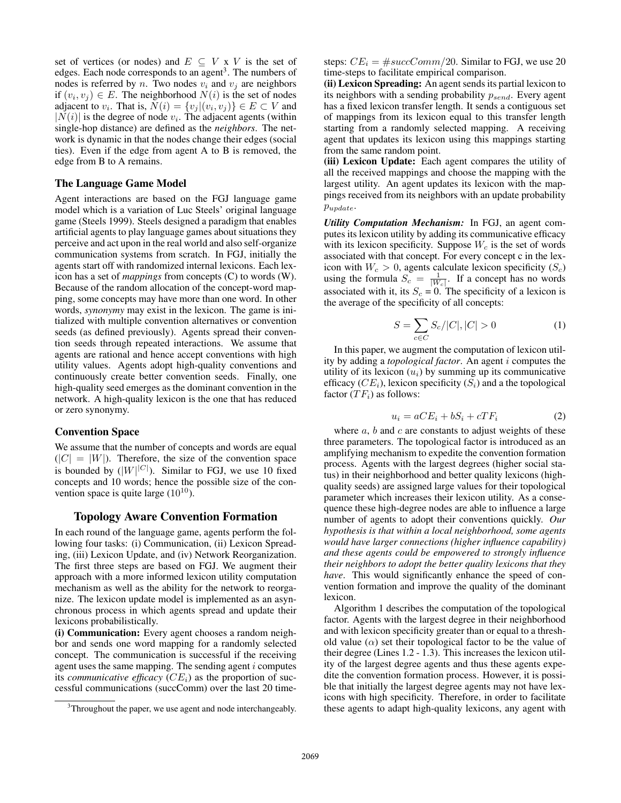set of vertices (or nodes) and  $E \subseteq V \times V$  is the set of edges. Each node corresponds to an agent<sup>3</sup>. The numbers of nodes is referred by *n*. Two nodes  $v_i$  and  $v_j$  are neighbors if  $(v_i, v_j) \in E$ . The neighborhood  $N(i)$  is the set of nodes adjacent to  $v_i$ . That is,  $N(i) = \{v_j | (v_i, v_j)\} \in E \subset V$  and  $|N(i)|$  is the degree of node  $v_i$ . The adjacent agents (within single-hop distance) are defined as the *neighbors*. The network is dynamic in that the nodes change their edges (social ties). Even if the edge from agent A to B is removed, the edge from B to A remains.

#### The Language Game Model

Agent interactions are based on the FGJ language game model which is a variation of Luc Steels' original language game (Steels 1999). Steels designed a paradigm that enables artificial agents to play language games about situations they perceive and act upon in the real world and also self-organize communication systems from scratch. In FGJ, initially the agents start off with randomized internal lexicons. Each lexicon has a set of *mappings* from concepts (C) to words (W). Because of the random allocation of the concept-word mapping, some concepts may have more than one word. In other words, *synonymy* may exist in the lexicon. The game is initialized with multiple convention alternatives or convention seeds (as defined previously). Agents spread their convention seeds through repeated interactions. We assume that agents are rational and hence accept conventions with high utility values. Agents adopt high-quality conventions and continuously create better convention seeds. Finally, one high-quality seed emerges as the dominant convention in the network. A high-quality lexicon is the one that has reduced or zero synonymy.

#### Convention Space

We assume that the number of concepts and words are equal  $(|C| = |W|)$ . Therefore, the size of the convention space is bounded by  $(|W|^{|C|})$ . Similar to FGJ, we use 10 fixed concepts and 10 words; hence the possible size of the convention space is quite large  $(10^{10})$ .

### Topology Aware Convention Formation

In each round of the language game, agents perform the following four tasks: (i) Communication, (ii) Lexicon Spreading, (iii) Lexicon Update, and (iv) Network Reorganization. The first three steps are based on FGJ. We augment their approach with a more informed lexicon utility computation mechanism as well as the ability for the network to reorganize. The lexicon update model is implemented as an asynchronous process in which agents spread and update their lexicons probabilistically.

(i) Communication: Every agent chooses a random neighbor and sends one word mapping for a randomly selected concept. The communication is successful if the receiving agent uses the same mapping. The sending agent  $i$  computes its *communicative efficacy*  $(CE<sub>i</sub>)$  as the proportion of successful communications (succComm) over the last 20 timesteps:  $CE_i = #succComm/20$ . Similar to FGJ, we use 20 time-steps to facilitate empirical comparison.

(ii) Lexicon Spreading: An agent sends its partial lexicon to its neighbors with a sending probability  $p_{send}$ . Every agent has a fixed lexicon transfer length. It sends a contiguous set of mappings from its lexicon equal to this transfer length starting from a randomly selected mapping. A receiving agent that updates its lexicon using this mappings starting from the same random point.

(iii) Lexicon Update: Each agent compares the utility of all the received mappings and choose the mapping with the largest utility. An agent updates its lexicon with the mappings received from its neighbors with an update probability  $p_{update}$ .

*Utility Computation Mechanism:* In FGJ, an agent computes its lexicon utility by adding its communicative efficacy with its lexicon specificity. Suppose  $W_c$  is the set of words associated with that concept. For every concept c in the lexicon with  $W_c > 0$ , agents calculate lexicon specificity  $(S_c)$ using the formula  $S_c = \frac{1}{|W_c|}$ . If a concept has no words associated with it, its  $S_c = 0$ . The specificity of a lexicon is the average of the specificity of all concepts:

$$
S = \sum_{c \in C} S_c / |C|, |C| > 0
$$
 (1)

In this paper, we augment the computation of lexicon utility by adding a *topological factor*. An agent i computes the utility of its lexicon  $(u_i)$  by summing up its communicative efficacy  $(CE_i)$ , lexicon specificity  $(S_i)$  and a the topological factor  $(TF_i)$  as follows:

$$
u_i = aCE_i + bS_i + cTF_i \tag{2}
$$

where  $a, b$  and  $c$  are constants to adjust weights of these three parameters. The topological factor is introduced as an amplifying mechanism to expedite the convention formation process. Agents with the largest degrees (higher social status) in their neighborhood and better quality lexicons (highquality seeds) are assigned large values for their topological parameter which increases their lexicon utility. As a consequence these high-degree nodes are able to influence a large number of agents to adopt their conventions quickly. *Our hypothesis is that within a local neighborhood, some agents would have larger connections (higher influence capability) and these agents could be empowered to strongly influence their neighbors to adopt the better quality lexicons that they have*. This would significantly enhance the speed of convention formation and improve the quality of the dominant lexicon.

Algorithm 1 describes the computation of the topological factor. Agents with the largest degree in their neighborhood and with lexicon specificity greater than or equal to a threshold value  $(\alpha)$  set their topological factor to be the value of their degree (Lines 1.2 - 1.3). This increases the lexicon utility of the largest degree agents and thus these agents expedite the convention formation process. However, it is possible that initially the largest degree agents may not have lexicons with high specificity. Therefore, in order to facilitate these agents to adapt high-quality lexicons, any agent with

<sup>&</sup>lt;sup>3</sup>Throughout the paper, we use agent and node interchangeably.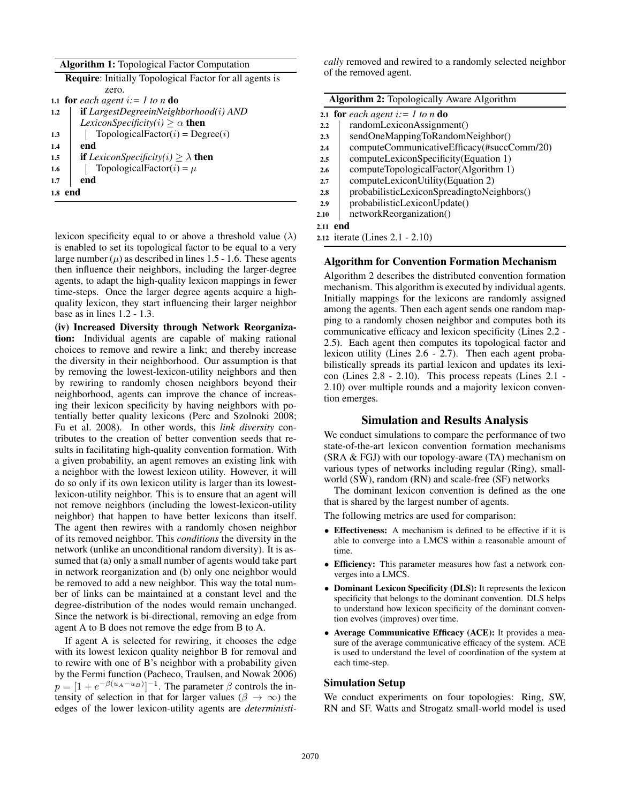|  | <b>Algorithm 1: Topological Factor Computation</b> |
|--|----------------------------------------------------|
|  |                                                    |

|     | <b>Require:</b> Initially Topological Factor for all agents is |  |  |  |  |
|-----|----------------------------------------------------------------|--|--|--|--|
|     | zero.                                                          |  |  |  |  |
|     | 1.1 for each agent $i = 1$ to n do                             |  |  |  |  |
| 1.2 | $if$ LargestDegreeinNeighborhood(i) AND                        |  |  |  |  |
|     | <i>LexiconSpecificity(i)</i> $\geq \alpha$ <b>then</b>         |  |  |  |  |
| 1.3 | TopologicalFactor(i) = $Degree(i)$                             |  |  |  |  |
| 1.4 | end                                                            |  |  |  |  |
| 1.5 | <b>if</b> LexiconSpecificity(i) $> \lambda$ then               |  |  |  |  |
| 1.6 | TopologicalFactor(i) = $\mu$                                   |  |  |  |  |
| 1.7 | end                                                            |  |  |  |  |
| 1.8 | end                                                            |  |  |  |  |
|     |                                                                |  |  |  |  |

lexicon specificity equal to or above a threshold value  $(\lambda)$ is enabled to set its topological factor to be equal to a very large number  $(\mu)$  as described in lines 1.5 - 1.6. These agents then influence their neighbors, including the larger-degree agents, to adapt the high-quality lexicon mappings in fewer time-steps. Once the larger degree agents acquire a highquality lexicon, they start influencing their larger neighbor base as in lines 1.2 - 1.3.

(iv) Increased Diversity through Network Reorganization: Individual agents are capable of making rational choices to remove and rewire a link; and thereby increase the diversity in their neighborhood. Our assumption is that by removing the lowest-lexicon-utility neighbors and then by rewiring to randomly chosen neighbors beyond their neighborhood, agents can improve the chance of increasing their lexicon specificity by having neighbors with potentially better quality lexicons (Perc and Szolnoki 2008; Fu et al. 2008). In other words, this *link diversity* contributes to the creation of better convention seeds that results in facilitating high-quality convention formation. With a given probability, an agent removes an existing link with a neighbor with the lowest lexicon utility. However, it will do so only if its own lexicon utility is larger than its lowestlexicon-utility neighbor. This is to ensure that an agent will not remove neighbors (including the lowest-lexicon-utility neighbor) that happen to have better lexicons than itself. The agent then rewires with a randomly chosen neighbor of its removed neighbor. This *conditions* the diversity in the network (unlike an unconditional random diversity). It is assumed that (a) only a small number of agents would take part in network reorganization and (b) only one neighbor would be removed to add a new neighbor. This way the total number of links can be maintained at a constant level and the degree-distribution of the nodes would remain unchanged. Since the network is bi-directional, removing an edge from agent A to B does not remove the edge from B to A.

If agent A is selected for rewiring, it chooses the edge with its lowest lexicon quality neighbor B for removal and to rewire with one of B's neighbor with a probability given by the Fermi function (Pacheco, Traulsen, and Nowak 2006)  $p = [1 + e^{-\beta(u_A - u_B)}]^{-1}$ . The parameter  $\beta$  controls the intensity of selection in that for larger values ( $\beta \to \infty$ ) the edges of the lower lexicon-utility agents are *deterministi-* *cally* removed and rewired to a randomly selected neighbor of the removed agent.

|      | <b>Algorithm 2:</b> Topologically Aware Algorithm |  |  |  |  |
|------|---------------------------------------------------|--|--|--|--|
|      | 2.1 for each agent $i = 1$ to n do                |  |  |  |  |
| 2.2  | randomLexiconAssignment()                         |  |  |  |  |
| 2.3  | sendOneMappingToRandomNeighbor()                  |  |  |  |  |
| 2.4  | computeCommunicativeEfficacy(#succComm/20)        |  |  |  |  |
| 2.5  | computeLexiconSpecificity(Equation 1)             |  |  |  |  |
| 2.6  | computeTopologicalFactor(Algorithm 1)             |  |  |  |  |
| 2.7  | computeLexiconUtility(Equation 2)                 |  |  |  |  |
| 2.8  | probabilisticLexiconSpreadingtoNeighbors()        |  |  |  |  |
| 2.9  | probabilisticLexiconUpdate()                      |  |  |  |  |
| 2.10 | networkReorganization()                           |  |  |  |  |
| 2.11 | end                                               |  |  |  |  |
|      | 2.12 iterate (Lines 2.1 - 2.10)                   |  |  |  |  |
|      |                                                   |  |  |  |  |

### Algorithm for Convention Formation Mechanism

Algorithm 2 describes the distributed convention formation mechanism. This algorithm is executed by individual agents. Initially mappings for the lexicons are randomly assigned among the agents. Then each agent sends one random mapping to a randomly chosen neighbor and computes both its communicative efficacy and lexicon specificity (Lines 2.2 - 2.5). Each agent then computes its topological factor and lexicon utility (Lines 2.6 - 2.7). Then each agent probabilistically spreads its partial lexicon and updates its lexicon (Lines 2.8 - 2.10). This process repeats (Lines 2.1 - 2.10) over multiple rounds and a majority lexicon convention emerges.

### Simulation and Results Analysis

We conduct simulations to compare the performance of two state-of-the-art lexicon convention formation mechanisms (SRA & FGJ) with our topology-aware (TA) mechanism on various types of networks including regular (Ring), smallworld (SW), random (RN) and scale-free (SF) networks

The dominant lexicon convention is defined as the one that is shared by the largest number of agents.

The following metrics are used for comparison:

- Effectiveness: A mechanism is defined to be effective if it is able to converge into a LMCS within a reasonable amount of time.
- Efficiency: This parameter measures how fast a network converges into a LMCS.
- Dominant Lexicon Specificity (DLS): It represents the lexicon specificity that belongs to the dominant convention. DLS helps to understand how lexicon specificity of the dominant convention evolves (improves) over time.
- Average Communicative Efficacy (ACE): It provides a measure of the average communicative efficacy of the system. ACE is used to understand the level of coordination of the system at each time-step.

### Simulation Setup

We conduct experiments on four topologies: Ring, SW, RN and SF. Watts and Strogatz small-world model is used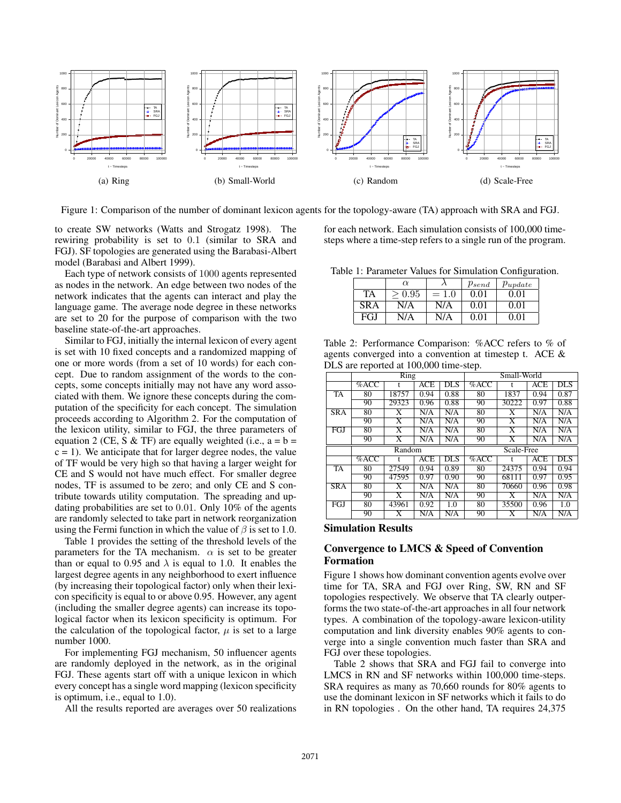

Figure 1: Comparison of the number of dominant lexicon agents for the topology-aware (TA) approach with SRA and FGJ.

to create SW networks (Watts and Strogatz 1998). The rewiring probability is set to 0.1 (similar to SRA and FGJ). SF topologies are generated using the Barabasi-Albert model (Barabasi and Albert 1999).

Each type of network consists of 1000 agents represented as nodes in the network. An edge between two nodes of the network indicates that the agents can interact and play the language game. The average node degree in these networks are set to 20 for the purpose of comparison with the two baseline state-of-the-art approaches.

Similar to FGJ, initially the internal lexicon of every agent is set with 10 fixed concepts and a randomized mapping of one or more words (from a set of 10 words) for each concept. Due to random assignment of the words to the concepts, some concepts initially may not have any word associated with them. We ignore these concepts during the computation of the specificity for each concept. The simulation proceeds according to Algorithm 2. For the computation of the lexicon utility, similar to FGJ, the three parameters of equation 2 (CE, S & TF) are equally weighted (i.e.,  $a = b =$  $c = 1$ ). We anticipate that for larger degree nodes, the value of TF would be very high so that having a larger weight for CE and S would not have much effect. For smaller degree nodes, TF is assumed to be zero; and only CE and S contribute towards utility computation. The spreading and updating probabilities are set to 0.01. Only 10% of the agents are randomly selected to take part in network reorganization using the Fermi function in which the value of  $\beta$  is set to 1.0.

Table 1 provides the setting of the threshold levels of the parameters for the TA mechanism.  $\alpha$  is set to be greater than or equal to 0.95 and  $\lambda$  is equal to 1.0. It enables the largest degree agents in any neighborhood to exert influence (by increasing their topological factor) only when their lexicon specificity is equal to or above 0.95. However, any agent (including the smaller degree agents) can increase its topological factor when its lexicon specificity is optimum. For the calculation of the topological factor,  $\mu$  is set to a large number 1000.

For implementing FGJ mechanism, 50 influencer agents are randomly deployed in the network, as in the original FGJ. These agents start off with a unique lexicon in which every concept has a single word mapping (lexicon specificity is optimum, i.e., equal to 1.0).

All the results reported are averages over 50 realizations

for each network. Each simulation consists of 100,000 timesteps where a time-step refers to a single run of the program.

Table 1: Parameter Values for Simulation Configuration.

|     | $\alpha$ |         | $p_{send}$ | $p_{update}$ |  |
|-----|----------|---------|------------|--------------|--|
| TA  | 0.95     | $= 1.0$ | 0.01       | 0.01         |  |
| SRA | N/A      | N/A     | 0.01       | 0.01         |  |
| FGJ | N/A      | N/A     | 0.01       | O 01         |  |

Table 2: Performance Comparison: %ACC refers to % of agents converged into a convention at timestep t. ACE & DLS are reported at 100,000 time-step.

|            | $\overline{\mathrm{Ring}}$ |                         |      | Small-World                    |         |                         |            |                         |
|------------|----------------------------|-------------------------|------|--------------------------------|---------|-------------------------|------------|-------------------------|
|            | $%$ ACC                    |                         | ACE  | <b>DLS</b>                     | $%$ ACC |                         | <b>ACE</b> | <b>DLS</b>              |
| <b>TA</b>  | 80                         | 18757                   | 0.94 | 0.88                           | 80      | 1837                    | 0.94       | 0.87                    |
|            | 90                         | 29323                   | 0.96 | 0.88                           | 90      | 30222                   | 0.97       | 0.88                    |
| <b>SRA</b> | 80                         | X                       | N/A  | $\overline{\text{N}}/\text{A}$ | 80      | X                       | N/A        | N/A                     |
|            | 90                         | $\overline{X}$          | N/A  | N/A                            | 90      | $\overline{\mathrm{X}}$ | N/A        | N/A                     |
| FGJ        | 80                         | X                       | N/A  | N/A                            | 80      | X                       | N/A        | N/A                     |
|            | 90                         | $\overline{\text{X}}$   | N/A  | N/A                            | 90      | $\overline{\text{X}}$   | N/A        | N/A                     |
|            | Random                     |                         |      | Scale-Free                     |         |                         |            |                         |
|            | %ACC                       |                         | ACE  | <b>DLS</b>                     | $%$ ACC |                         | ACE        | <b>DLS</b>              |
| TA         | 80                         | 27549                   | 0.94 | 0.89                           | 80      | 24375                   | 0.94       | 0.94                    |
|            | 90                         | 47595                   | 0.97 | 0.90                           | 90      | 68111                   | 0.97       | 0.95                    |
| SRA        | 80                         | X                       | N/A  | N/A                            | 80      | 70660                   | 0.96       | 0.98                    |
|            | 90                         | $\overline{\text{X}}$   | N/A  | N/A                            | 90      | $\overline{\text{X}}$   | N/A        | N/A                     |
| FGJ        | 80                         | 43961                   | 0.92 | 1.0                            | 80      | 35500                   | 0.96       | 1.0                     |
|            | 90                         | $\overline{\mathrm{X}}$ | N/A  | $\overline{\text{N}}/\text{A}$ | 90      | $\overline{\text{X}}$   | N/A        | $\overline{\text{N/A}}$ |

#### Simulation Results

### Convergence to LMCS & Speed of Convention Formation

Figure 1 shows how dominant convention agents evolve over time for TA, SRA and FGJ over Ring, SW, RN and SF topologies respectively. We observe that TA clearly outperforms the two state-of-the-art approaches in all four network types. A combination of the topology-aware lexicon-utility computation and link diversity enables 90% agents to converge into a single convention much faster than SRA and FGJ over these topologies.

Table 2 shows that SRA and FGJ fail to converge into LMCS in RN and SF networks within 100,000 time-steps. SRA requires as many as 70,660 rounds for 80% agents to use the dominant lexicon in SF networks which it fails to do in RN topologies . On the other hand, TA requires 24,375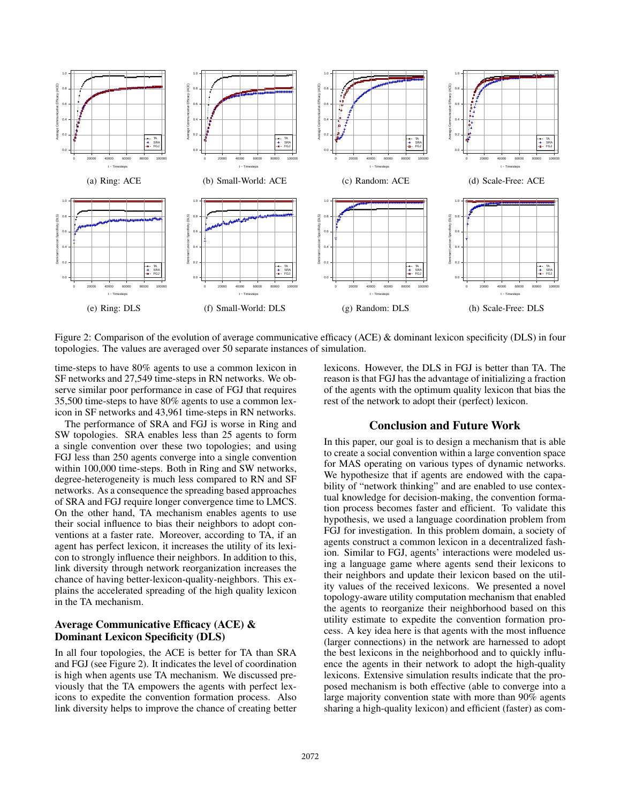

Figure 2: Comparison of the evolution of average communicative efficacy (ACE) & dominant lexicon specificity (DLS) in four topologies. The values are averaged over 50 separate instances of simulation.

time-steps to have 80% agents to use a common lexicon in SF networks and 27,549 time-steps in RN networks. We observe similar poor performance in case of FGJ that requires 35,500 time-steps to have 80% agents to use a common lexicon in SF networks and 43,961 time-steps in RN networks.

The performance of SRA and FGJ is worse in Ring and SW topologies. SRA enables less than 25 agents to form a single convention over these two topologies; and using FGJ less than 250 agents converge into a single convention within 100,000 time-steps. Both in Ring and SW networks, degree-heterogeneity is much less compared to RN and SF networks. As a consequence the spreading based approaches of SRA and FGJ require longer convergence time to LMCS. On the other hand, TA mechanism enables agents to use their social influence to bias their neighbors to adopt conventions at a faster rate. Moreover, according to TA, if an agent has perfect lexicon, it increases the utility of its lexicon to strongly influence their neighbors. In addition to this, link diversity through network reorganization increases the chance of having better-lexicon-quality-neighbors. This explains the accelerated spreading of the high quality lexicon in the TA mechanism.

## Average Communicative Efficacy (ACE) & Dominant Lexicon Specificity (DLS)

In all four topologies, the ACE is better for TA than SRA and FGJ (see Figure 2). It indicates the level of coordination is high when agents use TA mechanism. We discussed previously that the TA empowers the agents with perfect lexicons to expedite the convention formation process. Also link diversity helps to improve the chance of creating better

lexicons. However, the DLS in FGJ is better than TA. The reason is that FGJ has the advantage of initializing a fraction of the agents with the optimum quality lexicon that bias the rest of the network to adopt their (perfect) lexicon.

## Conclusion and Future Work

In this paper, our goal is to design a mechanism that is able to create a social convention within a large convention space for MAS operating on various types of dynamic networks. We hypothesize that if agents are endowed with the capability of "network thinking" and are enabled to use contextual knowledge for decision-making, the convention formation process becomes faster and efficient. To validate this hypothesis, we used a language coordination problem from FGJ for investigation. In this problem domain, a society of agents construct a common lexicon in a decentralized fashion. Similar to FGJ, agents' interactions were modeled using a language game where agents send their lexicons to their neighbors and update their lexicon based on the utility values of the received lexicons. We presented a novel topology-aware utility computation mechanism that enabled the agents to reorganize their neighborhood based on this utility estimate to expedite the convention formation process. A key idea here is that agents with the most influence (larger connections) in the network are harnessed to adopt the best lexicons in the neighborhood and to quickly influence the agents in their network to adopt the high-quality lexicons. Extensive simulation results indicate that the proposed mechanism is both effective (able to converge into a large majority convention state with more than 90% agents sharing a high-quality lexicon) and efficient (faster) as com